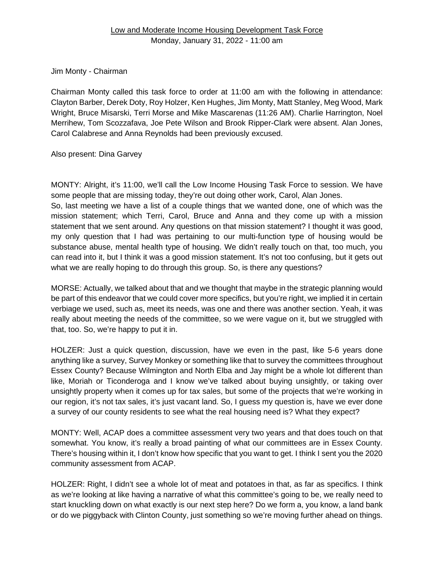Jim Monty - Chairman

Chairman Monty called this task force to order at 11:00 am with the following in attendance: Clayton Barber, Derek Doty, Roy Holzer, Ken Hughes, Jim Monty, Matt Stanley, Meg Wood, Mark Wright, Bruce Misarski, Terri Morse and Mike Mascarenas (11:26 AM). Charlie Harrington, Noel Merrihew, Tom Scozzafava, Joe Pete Wilson and Brook Ripper-Clark were absent. Alan Jones, Carol Calabrese and Anna Reynolds had been previously excused.

Also present: Dina Garvey

MONTY: Alright, it's 11:00, we'll call the Low Income Housing Task Force to session. We have some people that are missing today, they're out doing other work, Carol, Alan Jones.

So, last meeting we have a list of a couple things that we wanted done, one of which was the mission statement; which Terri, Carol, Bruce and Anna and they come up with a mission statement that we sent around. Any questions on that mission statement? I thought it was good, my only question that I had was pertaining to our multi-function type of housing would be substance abuse, mental health type of housing. We didn't really touch on that, too much, you can read into it, but I think it was a good mission statement. It's not too confusing, but it gets out what we are really hoping to do through this group. So, is there any questions?

MORSE: Actually, we talked about that and we thought that maybe in the strategic planning would be part of this endeavor that we could cover more specifics, but you're right, we implied it in certain verbiage we used, such as, meet its needs, was one and there was another section. Yeah, it was really about meeting the needs of the committee, so we were vague on it, but we struggled with that, too. So, we're happy to put it in.

HOLZER: Just a quick question, discussion, have we even in the past, like 5-6 years done anything like a survey, Survey Monkey or something like that to survey the committees throughout Essex County? Because Wilmington and North Elba and Jay might be a whole lot different than like, Moriah or Ticonderoga and I know we've talked about buying unsightly, or taking over unsightly property when it comes up for tax sales, but some of the projects that we're working in our region, it's not tax sales, it's just vacant land. So, I guess my question is, have we ever done a survey of our county residents to see what the real housing need is? What they expect?

MONTY: Well, ACAP does a committee assessment very two years and that does touch on that somewhat. You know, it's really a broad painting of what our committees are in Essex County. There's housing within it, I don't know how specific that you want to get. I think I sent you the 2020 community assessment from ACAP.

HOLZER: Right, I didn't see a whole lot of meat and potatoes in that, as far as specifics. I think as we're looking at like having a narrative of what this committee's going to be, we really need to start knuckling down on what exactly is our next step here? Do we form a, you know, a land bank or do we piggyback with Clinton County, just something so we're moving further ahead on things.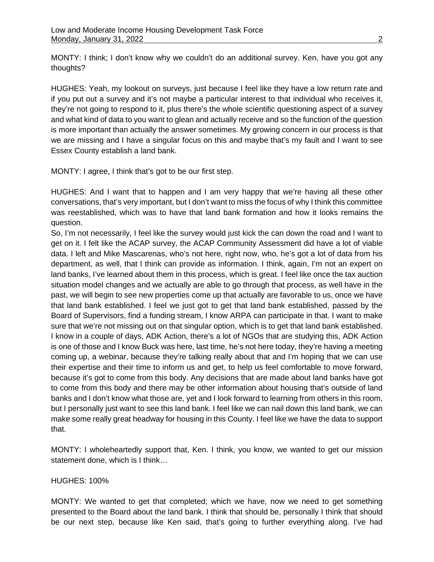MONTY: I think; I don't know why we couldn't do an additional survey. Ken, have you got any thoughts?

HUGHES: Yeah, my lookout on surveys, just because I feel like they have a low return rate and if you put out a survey and it's not maybe a particular interest to that individual who receives it, they're not going to respond to it, plus there's the whole scientific questioning aspect of a survey and what kind of data to you want to glean and actually receive and so the function of the question is more important than actually the answer sometimes. My growing concern in our process is that we are missing and I have a singular focus on this and maybe that's my fault and I want to see Essex County establish a land bank.

MONTY: I agree, I think that's got to be our first step.

HUGHES: And I want that to happen and I am very happy that we're having all these other conversations, that's very important, but I don't want to miss the focus of why I think this committee was reestablished, which was to have that land bank formation and how it looks remains the question.

So, I'm not necessarily, I feel like the survey would just kick the can down the road and I want to get on it. I felt like the ACAP survey, the ACAP Community Assessment did have a lot of viable data. I left and Mike Mascarenas, who's not here, right now, who, he's got a lot of data from his department, as well, that I think can provide as information. I think, again, I'm not an expert on land banks, I've learned about them in this process, which is great. I feel like once the tax auction situation model changes and we actually are able to go through that process, as well have in the past, we will begin to see new properties come up that actually are favorable to us, once we have that land bank established. I feel we just got to get that land bank established, passed by the Board of Supervisors, find a funding stream, I know ARPA can participate in that. I want to make sure that we're not missing out on that singular option, which is to get that land bank established. I know in a couple of days, ADK Action, there's a lot of NGOs that are studying this, ADK Action is one of those and I know Buck was here, last time, he's not here today, they're having a meeting coming up, a webinar, because they're talking really about that and I'm hoping that we can use their expertise and their time to inform us and get, to help us feel comfortable to move forward, because it's got to come from this body. Any decisions that are made about land banks have got to come from this body and there may be other information about housing that's outside of land banks and I don't know what those are, yet and I look forward to learning from others in this room, but I personally just want to see this land bank. I feel like we can nail down this land bank, we can make some really great headway for housing in this County. I feel like we have the data to support that.

MONTY: I wholeheartedly support that, Ken. I think, you know, we wanted to get our mission statement done, which is I think…

#### HUGHES: 100%

MONTY: We wanted to get that completed; which we have, now we need to get something presented to the Board about the land bank. I think that should be, personally I think that should be our next step, because like Ken said, that's going to further everything along. I've had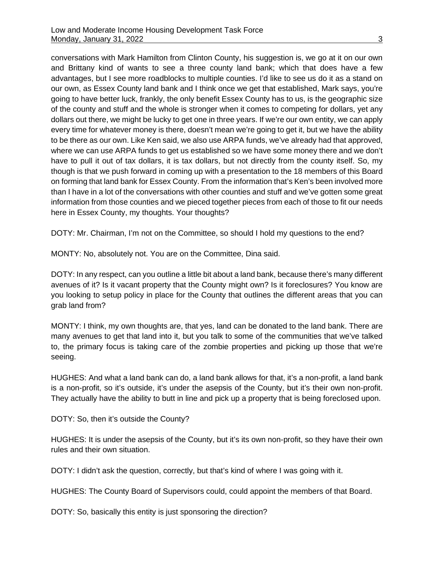conversations with Mark Hamilton from Clinton County, his suggestion is, we go at it on our own and Brittany kind of wants to see a three county land bank; which that does have a few advantages, but I see more roadblocks to multiple counties. I'd like to see us do it as a stand on our own, as Essex County land bank and I think once we get that established, Mark says, you're going to have better luck, frankly, the only benefit Essex County has to us, is the geographic size of the county and stuff and the whole is stronger when it comes to competing for dollars, yet any dollars out there, we might be lucky to get one in three years. If we're our own entity, we can apply every time for whatever money is there, doesn't mean we're going to get it, but we have the ability to be there as our own. Like Ken said, we also use ARPA funds, we've already had that approved, where we can use ARPA funds to get us established so we have some money there and we don't have to pull it out of tax dollars, it is tax dollars, but not directly from the county itself. So, my though is that we push forward in coming up with a presentation to the 18 members of this Board on forming that land bank for Essex County. From the information that's Ken's been involved more than I have in a lot of the conversations with other counties and stuff and we've gotten some great information from those counties and we pieced together pieces from each of those to fit our needs here in Essex County, my thoughts. Your thoughts?

DOTY: Mr. Chairman, I'm not on the Committee, so should I hold my questions to the end?

MONTY: No, absolutely not. You are on the Committee, Dina said.

DOTY: In any respect, can you outline a little bit about a land bank, because there's many different avenues of it? Is it vacant property that the County might own? Is it foreclosures? You know are you looking to setup policy in place for the County that outlines the different areas that you can grab land from?

MONTY: I think, my own thoughts are, that yes, land can be donated to the land bank. There are many avenues to get that land into it, but you talk to some of the communities that we've talked to, the primary focus is taking care of the zombie properties and picking up those that we're seeing.

HUGHES: And what a land bank can do, a land bank allows for that, it's a non-profit, a land bank is a non-profit, so it's outside, it's under the asepsis of the County, but it's their own non-profit. They actually have the ability to butt in line and pick up a property that is being foreclosed upon.

DOTY: So, then it's outside the County?

HUGHES: It is under the asepsis of the County, but it's its own non-profit, so they have their own rules and their own situation.

DOTY: I didn't ask the question, correctly, but that's kind of where I was going with it.

HUGHES: The County Board of Supervisors could, could appoint the members of that Board.

DOTY: So, basically this entity is just sponsoring the direction?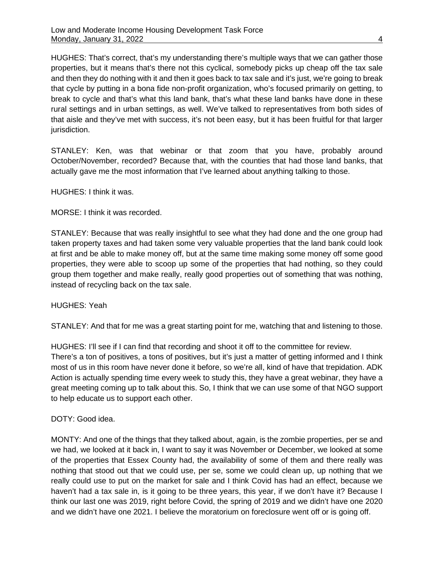HUGHES: That's correct, that's my understanding there's multiple ways that we can gather those properties, but it means that's there not this cyclical, somebody picks up cheap off the tax sale and then they do nothing with it and then it goes back to tax sale and it's just, we're going to break that cycle by putting in a bona fide non-profit organization, who's focused primarily on getting, to break to cycle and that's what this land bank, that's what these land banks have done in these rural settings and in urban settings, as well. We've talked to representatives from both sides of that aisle and they've met with success, it's not been easy, but it has been fruitful for that larger jurisdiction.

STANLEY: Ken, was that webinar or that zoom that you have, probably around October/November, recorded? Because that, with the counties that had those land banks, that actually gave me the most information that I've learned about anything talking to those.

HUGHES: I think it was.

MORSE: I think it was recorded.

STANLEY: Because that was really insightful to see what they had done and the one group had taken property taxes and had taken some very valuable properties that the land bank could look at first and be able to make money off, but at the same time making some money off some good properties, they were able to scoop up some of the properties that had nothing, so they could group them together and make really, really good properties out of something that was nothing, instead of recycling back on the tax sale.

HUGHES: Yeah

STANLEY: And that for me was a great starting point for me, watching that and listening to those.

HUGHES: I'll see if I can find that recording and shoot it off to the committee for review. There's a ton of positives, a tons of positives, but it's just a matter of getting informed and I think most of us in this room have never done it before, so we're all, kind of have that trepidation. ADK Action is actually spending time every week to study this, they have a great webinar, they have a great meeting coming up to talk about this. So, I think that we can use some of that NGO support to help educate us to support each other.

DOTY: Good idea.

MONTY: And one of the things that they talked about, again, is the zombie properties, per se and we had, we looked at it back in, I want to say it was November or December, we looked at some of the properties that Essex County had, the availability of some of them and there really was nothing that stood out that we could use, per se, some we could clean up, up nothing that we really could use to put on the market for sale and I think Covid has had an effect, because we haven't had a tax sale in, is it going to be three years, this year, if we don't have it? Because I think our last one was 2019, right before Covid, the spring of 2019 and we didn't have one 2020 and we didn't have one 2021. I believe the moratorium on foreclosure went off or is going off.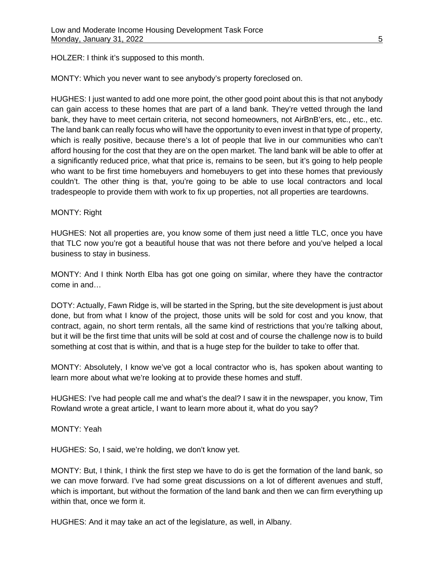HOLZER: I think it's supposed to this month.

MONTY: Which you never want to see anybody's property foreclosed on.

HUGHES: I just wanted to add one more point, the other good point about this is that not anybody can gain access to these homes that are part of a land bank. They're vetted through the land bank, they have to meet certain criteria, not second homeowners, not AirBnB'ers, etc., etc., etc. The land bank can really focus who will have the opportunity to even invest in that type of property, which is really positive, because there's a lot of people that live in our communities who can't afford housing for the cost that they are on the open market. The land bank will be able to offer at a significantly reduced price, what that price is, remains to be seen, but it's going to help people who want to be first time homebuyers and homebuyers to get into these homes that previously couldn't. The other thing is that, you're going to be able to use local contractors and local tradespeople to provide them with work to fix up properties, not all properties are teardowns.

#### MONTY: Right

HUGHES: Not all properties are, you know some of them just need a little TLC, once you have that TLC now you're got a beautiful house that was not there before and you've helped a local business to stay in business.

MONTY: And I think North Elba has got one going on similar, where they have the contractor come in and…

DOTY: Actually, Fawn Ridge is, will be started in the Spring, but the site development is just about done, but from what I know of the project, those units will be sold for cost and you know, that contract, again, no short term rentals, all the same kind of restrictions that you're talking about, but it will be the first time that units will be sold at cost and of course the challenge now is to build something at cost that is within, and that is a huge step for the builder to take to offer that.

MONTY: Absolutely, I know we've got a local contractor who is, has spoken about wanting to learn more about what we're looking at to provide these homes and stuff.

HUGHES: I've had people call me and what's the deal? I saw it in the newspaper, you know, Tim Rowland wrote a great article, I want to learn more about it, what do you say?

MONTY: Yeah

HUGHES: So, I said, we're holding, we don't know yet.

MONTY: But, I think, I think the first step we have to do is get the formation of the land bank, so we can move forward. I've had some great discussions on a lot of different avenues and stuff, which is important, but without the formation of the land bank and then we can firm everything up within that, once we form it.

HUGHES: And it may take an act of the legislature, as well, in Albany.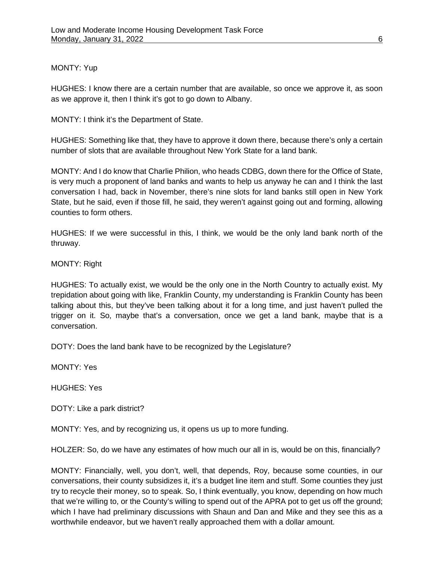#### MONTY: Yup

HUGHES: I know there are a certain number that are available, so once we approve it, as soon as we approve it, then I think it's got to go down to Albany.

MONTY: I think it's the Department of State.

HUGHES: Something like that, they have to approve it down there, because there's only a certain number of slots that are available throughout New York State for a land bank.

MONTY: And I do know that Charlie Philion, who heads CDBG, down there for the Office of State, is very much a proponent of land banks and wants to help us anyway he can and I think the last conversation I had, back in November, there's nine slots for land banks still open in New York State, but he said, even if those fill, he said, they weren't against going out and forming, allowing counties to form others.

HUGHES: If we were successful in this, I think, we would be the only land bank north of the thruway.

# MONTY: Right

HUGHES: To actually exist, we would be the only one in the North Country to actually exist. My trepidation about going with like, Franklin County, my understanding is Franklin County has been talking about this, but they've been talking about it for a long time, and just haven't pulled the trigger on it. So, maybe that's a conversation, once we get a land bank, maybe that is a conversation.

DOTY: Does the land bank have to be recognized by the Legislature?

MONTY: Yes

HUGHES: Yes

DOTY: Like a park district?

MONTY: Yes, and by recognizing us, it opens us up to more funding.

HOLZER: So, do we have any estimates of how much our all in is, would be on this, financially?

MONTY: Financially, well, you don't, well, that depends, Roy, because some counties, in our conversations, their county subsidizes it, it's a budget line item and stuff. Some counties they just try to recycle their money, so to speak. So, I think eventually, you know, depending on how much that we're willing to, or the County's willing to spend out of the APRA pot to get us off the ground; which I have had preliminary discussions with Shaun and Dan and Mike and they see this as a worthwhile endeavor, but we haven't really approached them with a dollar amount.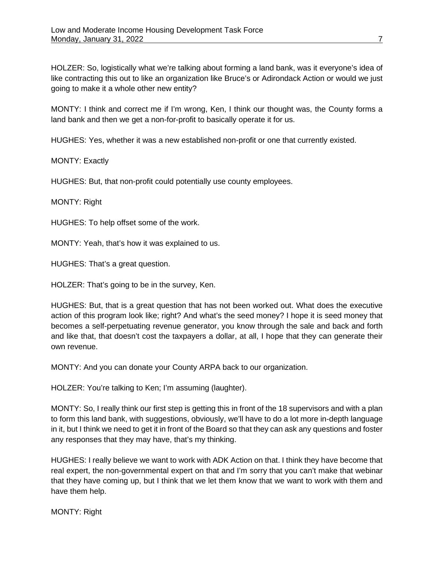HOLZER: So, logistically what we're talking about forming a land bank, was it everyone's idea of like contracting this out to like an organization like Bruce's or Adirondack Action or would we just going to make it a whole other new entity?

MONTY: I think and correct me if I'm wrong, Ken, I think our thought was, the County forms a land bank and then we get a non-for-profit to basically operate it for us.

HUGHES: Yes, whether it was a new established non-profit or one that currently existed.

MONTY: Exactly

HUGHES: But, that non-profit could potentially use county employees.

MONTY: Right

HUGHES: To help offset some of the work.

MONTY: Yeah, that's how it was explained to us.

HUGHES: That's a great question.

HOLZER: That's going to be in the survey, Ken.

HUGHES: But, that is a great question that has not been worked out. What does the executive action of this program look like; right? And what's the seed money? I hope it is seed money that becomes a self-perpetuating revenue generator, you know through the sale and back and forth and like that, that doesn't cost the taxpayers a dollar, at all, I hope that they can generate their own revenue.

MONTY: And you can donate your County ARPA back to our organization.

HOLZER: You're talking to Ken; I'm assuming (laughter).

MONTY: So, I really think our first step is getting this in front of the 18 supervisors and with a plan to form this land bank, with suggestions, obviously, we'll have to do a lot more in-depth language in it, but I think we need to get it in front of the Board so that they can ask any questions and foster any responses that they may have, that's my thinking.

HUGHES: I really believe we want to work with ADK Action on that. I think they have become that real expert, the non-governmental expert on that and I'm sorry that you can't make that webinar that they have coming up, but I think that we let them know that we want to work with them and have them help.

MONTY: Right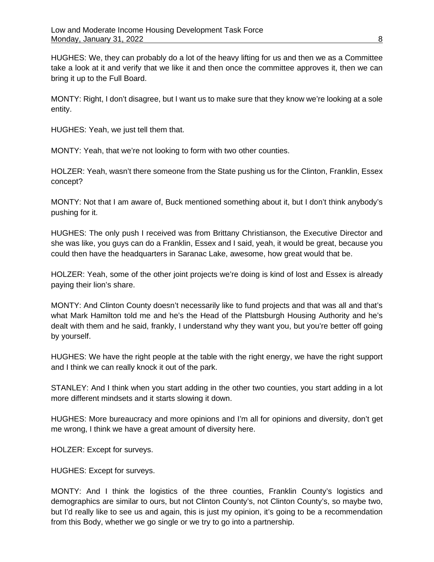HUGHES: We, they can probably do a lot of the heavy lifting for us and then we as a Committee take a look at it and verify that we like it and then once the committee approves it, then we can bring it up to the Full Board.

MONTY: Right, I don't disagree, but I want us to make sure that they know we're looking at a sole entity.

HUGHES: Yeah, we just tell them that.

MONTY: Yeah, that we're not looking to form with two other counties.

HOLZER: Yeah, wasn't there someone from the State pushing us for the Clinton, Franklin, Essex concept?

MONTY: Not that I am aware of, Buck mentioned something about it, but I don't think anybody's pushing for it.

HUGHES: The only push I received was from Brittany Christianson, the Executive Director and she was like, you guys can do a Franklin, Essex and I said, yeah, it would be great, because you could then have the headquarters in Saranac Lake, awesome, how great would that be.

HOLZER: Yeah, some of the other joint projects we're doing is kind of lost and Essex is already paying their lion's share.

MONTY: And Clinton County doesn't necessarily like to fund projects and that was all and that's what Mark Hamilton told me and he's the Head of the Plattsburgh Housing Authority and he's dealt with them and he said, frankly, I understand why they want you, but you're better off going by yourself.

HUGHES: We have the right people at the table with the right energy, we have the right support and I think we can really knock it out of the park.

STANLEY: And I think when you start adding in the other two counties, you start adding in a lot more different mindsets and it starts slowing it down.

HUGHES: More bureaucracy and more opinions and I'm all for opinions and diversity, don't get me wrong, I think we have a great amount of diversity here.

HOLZER: Except for surveys.

HUGHES: Except for surveys.

MONTY: And I think the logistics of the three counties, Franklin County's logistics and demographics are similar to ours, but not Clinton County's, not Clinton County's, so maybe two, but I'd really like to see us and again, this is just my opinion, it's going to be a recommendation from this Body, whether we go single or we try to go into a partnership.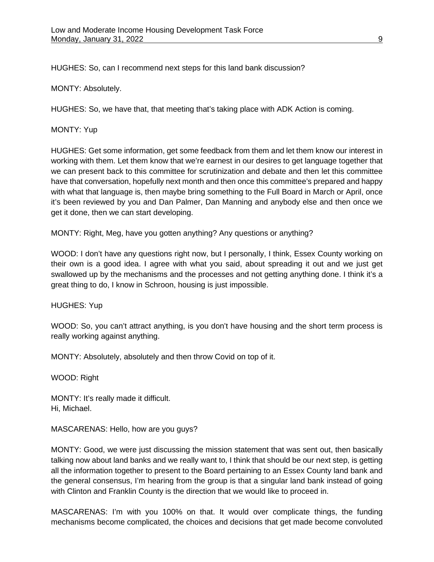HUGHES: So, can I recommend next steps for this land bank discussion?

MONTY: Absolutely.

HUGHES: So, we have that, that meeting that's taking place with ADK Action is coming.

MONTY: Yup

HUGHES: Get some information, get some feedback from them and let them know our interest in working with them. Let them know that we're earnest in our desires to get language together that we can present back to this committee for scrutinization and debate and then let this committee have that conversation, hopefully next month and then once this committee's prepared and happy with what that language is, then maybe bring something to the Full Board in March or April, once it's been reviewed by you and Dan Palmer, Dan Manning and anybody else and then once we get it done, then we can start developing.

MONTY: Right, Meg, have you gotten anything? Any questions or anything?

WOOD: I don't have any questions right now, but I personally, I think, Essex County working on their own is a good idea. I agree with what you said, about spreading it out and we just get swallowed up by the mechanisms and the processes and not getting anything done. I think it's a great thing to do, I know in Schroon, housing is just impossible.

HUGHES: Yup

WOOD: So, you can't attract anything, is you don't have housing and the short term process is really working against anything.

MONTY: Absolutely, absolutely and then throw Covid on top of it.

WOOD: Right

MONTY: It's really made it difficult. Hi, Michael.

MASCARENAS: Hello, how are you guys?

MONTY: Good, we were just discussing the mission statement that was sent out, then basically talking now about land banks and we really want to, I think that should be our next step, is getting all the information together to present to the Board pertaining to an Essex County land bank and the general consensus, I'm hearing from the group is that a singular land bank instead of going with Clinton and Franklin County is the direction that we would like to proceed in.

MASCARENAS: I'm with you 100% on that. It would over complicate things, the funding mechanisms become complicated, the choices and decisions that get made become convoluted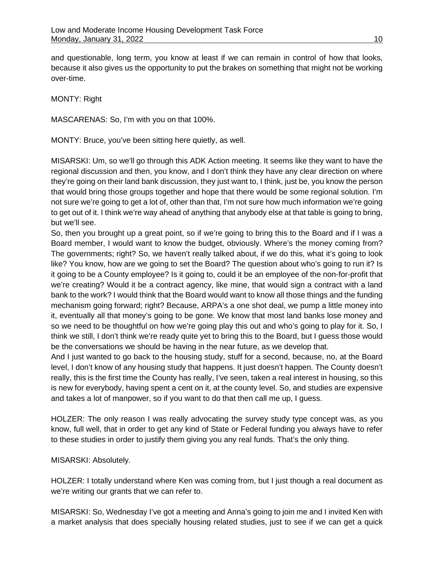and questionable, long term, you know at least if we can remain in control of how that looks, because it also gives us the opportunity to put the brakes on something that might not be working over-time.

MONTY: Right

MASCARENAS: So, I'm with you on that 100%.

MONTY: Bruce, you've been sitting here quietly, as well.

MISARSKI: Um, so we'll go through this ADK Action meeting. It seems like they want to have the regional discussion and then, you know, and I don't think they have any clear direction on where they're going on their land bank discussion, they just want to, I think, just be, you know the person that would bring those groups together and hope that there would be some regional solution. I'm not sure we're going to get a lot of, other than that, I'm not sure how much information we're going to get out of it. I think we're way ahead of anything that anybody else at that table is going to bring, but we'll see.

So, then you brought up a great point, so if we're going to bring this to the Board and if I was a Board member, I would want to know the budget, obviously. Where's the money coming from? The governments; right? So, we haven't really talked about, if we do this, what it's going to look like? You know, how are we going to set the Board? The question about who's going to run it? Is it going to be a County employee? Is it going to, could it be an employee of the non-for-profit that we're creating? Would it be a contract agency, like mine, that would sign a contract with a land bank to the work? I would think that the Board would want to know all those things and the funding mechanism going forward; right? Because, ARPA's a one shot deal, we pump a little money into it, eventually all that money's going to be gone. We know that most land banks lose money and so we need to be thoughtful on how we're going play this out and who's going to play for it. So, I think we still, I don't think we're ready quite yet to bring this to the Board, but I guess those would be the conversations we should be having in the near future, as we develop that.

And I just wanted to go back to the housing study, stuff for a second, because, no, at the Board level, I don't know of any housing study that happens. It just doesn't happen. The County doesn't really, this is the first time the County has really, I've seen, taken a real interest in housing, so this is new for everybody, having spent a cent on it, at the county level. So, and studies are expensive and takes a lot of manpower, so if you want to do that then call me up, I guess.

HOLZER: The only reason I was really advocating the survey study type concept was, as you know, full well, that in order to get any kind of State or Federal funding you always have to refer to these studies in order to justify them giving you any real funds. That's the only thing.

#### MISARSKI: Absolutely.

HOLZER: I totally understand where Ken was coming from, but I just though a real document as we're writing our grants that we can refer to.

MISARSKI: So, Wednesday I've got a meeting and Anna's going to join me and I invited Ken with a market analysis that does specially housing related studies, just to see if we can get a quick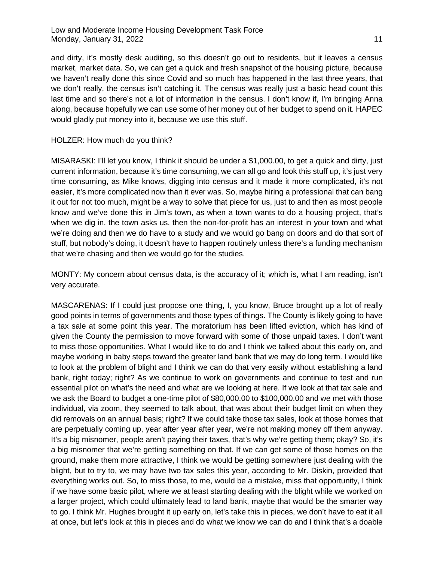and dirty, it's mostly desk auditing, so this doesn't go out to residents, but it leaves a census market, market data. So, we can get a quick and fresh snapshot of the housing picture, because we haven't really done this since Covid and so much has happened in the last three years, that we don't really, the census isn't catching it. The census was really just a basic head count this last time and so there's not a lot of information in the census. I don't know if, I'm bringing Anna along, because hopefully we can use some of her money out of her budget to spend on it. HAPEC would gladly put money into it, because we use this stuff.

#### HOLZER: How much do you think?

MISARASKI: I'll let you know, I think it should be under a \$1,000.00, to get a quick and dirty, just current information, because it's time consuming, we can all go and look this stuff up, it's just very time consuming, as Mike knows, digging into census and it made it more complicated, it's not easier, it's more complicated now than it ever was. So, maybe hiring a professional that can bang it out for not too much, might be a way to solve that piece for us, just to and then as most people know and we've done this in Jim's town, as when a town wants to do a housing project, that's when we dig in, the town asks us, then the non-for-profit has an interest in your town and what we're doing and then we do have to a study and we would go bang on doors and do that sort of stuff, but nobody's doing, it doesn't have to happen routinely unless there's a funding mechanism that we're chasing and then we would go for the studies.

MONTY: My concern about census data, is the accuracy of it; which is, what I am reading, isn't very accurate.

MASCARENAS: If I could just propose one thing, I, you know, Bruce brought up a lot of really good points in terms of governments and those types of things. The County is likely going to have a tax sale at some point this year. The moratorium has been lifted eviction, which has kind of given the County the permission to move forward with some of those unpaid taxes. I don't want to miss those opportunities. What I would like to do and I think we talked about this early on, and maybe working in baby steps toward the greater land bank that we may do long term. I would like to look at the problem of blight and I think we can do that very easily without establishing a land bank, right today; right? As we continue to work on governments and continue to test and run essential pilot on what's the need and what are we looking at here. If we look at that tax sale and we ask the Board to budget a one-time pilot of \$80,000.00 to \$100,000.00 and we met with those individual, via zoom, they seemed to talk about, that was about their budget limit on when they did removals on an annual basis; right? If we could take those tax sales, look at those homes that are perpetually coming up, year after year after year, we're not making money off them anyway. It's a big misnomer, people aren't paying their taxes, that's why we're getting them; okay? So, it's a big misnomer that we're getting something on that. If we can get some of those homes on the ground, make them more attractive, I think we would be getting somewhere just dealing with the blight, but to try to, we may have two tax sales this year, according to Mr. Diskin, provided that everything works out. So, to miss those, to me, would be a mistake, miss that opportunity, I think if we have some basic pilot, where we at least starting dealing with the blight while we worked on a larger project, which could ultimately lead to land bank, maybe that would be the smarter way to go. I think Mr. Hughes brought it up early on, let's take this in pieces, we don't have to eat it all at once, but let's look at this in pieces and do what we know we can do and I think that's a doable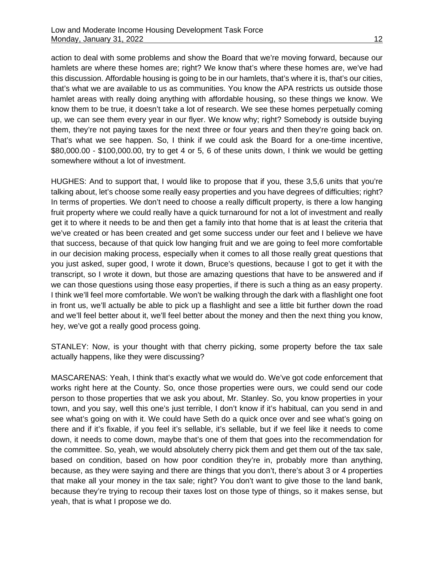action to deal with some problems and show the Board that we're moving forward, because our hamlets are where these homes are; right? We know that's where these homes are, we've had this discussion. Affordable housing is going to be in our hamlets, that's where it is, that's our cities, that's what we are available to us as communities. You know the APA restricts us outside those hamlet areas with really doing anything with affordable housing, so these things we know. We know them to be true, it doesn't take a lot of research. We see these homes perpetually coming up, we can see them every year in our flyer. We know why; right? Somebody is outside buying them, they're not paying taxes for the next three or four years and then they're going back on. That's what we see happen. So, I think if we could ask the Board for a one-time incentive, \$80,000.00 - \$100,000.00, try to get 4 or 5, 6 of these units down, I think we would be getting somewhere without a lot of investment.

HUGHES: And to support that, I would like to propose that if you, these 3,5,6 units that you're talking about, let's choose some really easy properties and you have degrees of difficulties; right? In terms of properties. We don't need to choose a really difficult property, is there a low hanging fruit property where we could really have a quick turnaround for not a lot of investment and really get it to where it needs to be and then get a family into that home that is at least the criteria that we've created or has been created and get some success under our feet and I believe we have that success, because of that quick low hanging fruit and we are going to feel more comfortable in our decision making process, especially when it comes to all those really great questions that you just asked, super good, I wrote it down, Bruce's questions, because I got to get it with the transcript, so I wrote it down, but those are amazing questions that have to be answered and if we can those questions using those easy properties, if there is such a thing as an easy property. I think we'll feel more comfortable. We won't be walking through the dark with a flashlight one foot in front us, we'll actually be able to pick up a flashlight and see a little bit further down the road and we'll feel better about it, we'll feel better about the money and then the next thing you know, hey, we've got a really good process going.

STANLEY: Now, is your thought with that cherry picking, some property before the tax sale actually happens, like they were discussing?

MASCARENAS: Yeah, I think that's exactly what we would do. We've got code enforcement that works right here at the County. So, once those properties were ours, we could send our code person to those properties that we ask you about, Mr. Stanley. So, you know properties in your town, and you say, well this one's just terrible, I don't know if it's habitual, can you send in and see what's going on with it. We could have Seth do a quick once over and see what's going on there and if it's fixable, if you feel it's sellable, it's sellable, but if we feel like it needs to come down, it needs to come down, maybe that's one of them that goes into the recommendation for the committee. So, yeah, we would absolutely cherry pick them and get them out of the tax sale, based on condition, based on how poor condition they're in, probably more than anything, because, as they were saying and there are things that you don't, there's about 3 or 4 properties that make all your money in the tax sale; right? You don't want to give those to the land bank, because they're trying to recoup their taxes lost on those type of things, so it makes sense, but yeah, that is what I propose we do.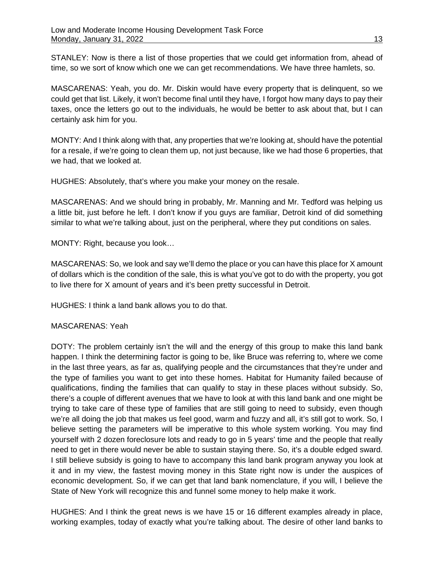STANLEY: Now is there a list of those properties that we could get information from, ahead of time, so we sort of know which one we can get recommendations. We have three hamlets, so.

MASCARENAS: Yeah, you do. Mr. Diskin would have every property that is delinquent, so we could get that list. Likely, it won't become final until they have, I forgot how many days to pay their taxes, once the letters go out to the individuals, he would be better to ask about that, but I can certainly ask him for you.

MONTY: And I think along with that, any properties that we're looking at, should have the potential for a resale, if we're going to clean them up, not just because, like we had those 6 properties, that we had, that we looked at.

HUGHES: Absolutely, that's where you make your money on the resale.

MASCARENAS: And we should bring in probably, Mr. Manning and Mr. Tedford was helping us a little bit, just before he left. I don't know if you guys are familiar, Detroit kind of did something similar to what we're talking about, just on the peripheral, where they put conditions on sales.

MONTY: Right, because you look…

MASCARENAS: So, we look and say we'll demo the place or you can have this place for X amount of dollars which is the condition of the sale, this is what you've got to do with the property, you got to live there for X amount of years and it's been pretty successful in Detroit.

HUGHES: I think a land bank allows you to do that.

# MASCARENAS: Yeah

DOTY: The problem certainly isn't the will and the energy of this group to make this land bank happen. I think the determining factor is going to be, like Bruce was referring to, where we come in the last three years, as far as, qualifying people and the circumstances that they're under and the type of families you want to get into these homes. Habitat for Humanity failed because of qualifications, finding the families that can qualify to stay in these places without subsidy. So, there's a couple of different avenues that we have to look at with this land bank and one might be trying to take care of these type of families that are still going to need to subsidy, even though we're all doing the job that makes us feel good, warm and fuzzy and all, it's still got to work. So, I believe setting the parameters will be imperative to this whole system working. You may find yourself with 2 dozen foreclosure lots and ready to go in 5 years' time and the people that really need to get in there would never be able to sustain staying there. So, it's a double edged sward. I still believe subsidy is going to have to accompany this land bank program anyway you look at it and in my view, the fastest moving money in this State right now is under the auspices of economic development. So, if we can get that land bank nomenclature, if you will, I believe the State of New York will recognize this and funnel some money to help make it work.

HUGHES: And I think the great news is we have 15 or 16 different examples already in place, working examples, today of exactly what you're talking about. The desire of other land banks to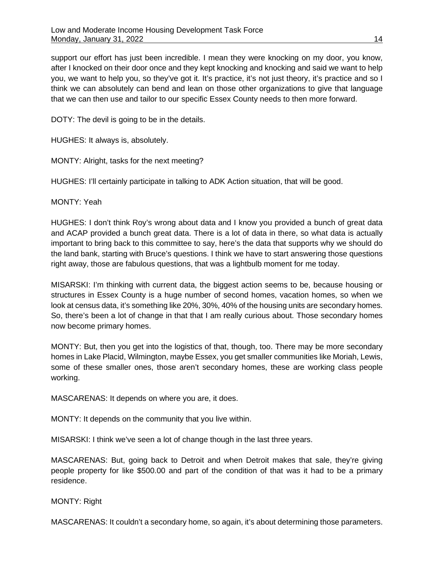support our effort has just been incredible. I mean they were knocking on my door, you know, after I knocked on their door once and they kept knocking and knocking and said we want to help you, we want to help you, so they've got it. It's practice, it's not just theory, it's practice and so I think we can absolutely can bend and lean on those other organizations to give that language that we can then use and tailor to our specific Essex County needs to then more forward.

DOTY: The devil is going to be in the details.

HUGHES: It always is, absolutely.

MONTY: Alright, tasks for the next meeting?

HUGHES: I'll certainly participate in talking to ADK Action situation, that will be good.

MONTY: Yeah

HUGHES: I don't think Roy's wrong about data and I know you provided a bunch of great data and ACAP provided a bunch great data. There is a lot of data in there, so what data is actually important to bring back to this committee to say, here's the data that supports why we should do the land bank, starting with Bruce's questions. I think we have to start answering those questions right away, those are fabulous questions, that was a lightbulb moment for me today.

MISARSKI: I'm thinking with current data, the biggest action seems to be, because housing or structures in Essex County is a huge number of second homes, vacation homes, so when we look at census data, it's something like 20%, 30%, 40% of the housing units are secondary homes. So, there's been a lot of change in that that I am really curious about. Those secondary homes now become primary homes.

MONTY: But, then you get into the logistics of that, though, too. There may be more secondary homes in Lake Placid, Wilmington, maybe Essex, you get smaller communities like Moriah, Lewis, some of these smaller ones, those aren't secondary homes, these are working class people working.

MASCARENAS: It depends on where you are, it does.

MONTY: It depends on the community that you live within.

MISARSKI: I think we've seen a lot of change though in the last three years.

MASCARENAS: But, going back to Detroit and when Detroit makes that sale, they're giving people property for like \$500.00 and part of the condition of that was it had to be a primary residence.

MONTY: Right

MASCARENAS: It couldn't a secondary home, so again, it's about determining those parameters.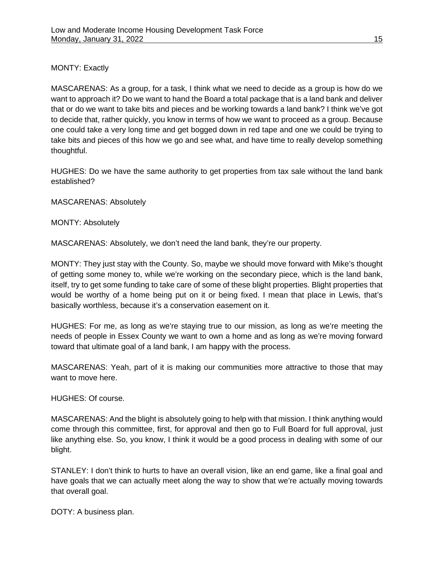# MONTY: Exactly

MASCARENAS: As a group, for a task, I think what we need to decide as a group is how do we want to approach it? Do we want to hand the Board a total package that is a land bank and deliver that or do we want to take bits and pieces and be working towards a land bank? I think we've got to decide that, rather quickly, you know in terms of how we want to proceed as a group. Because one could take a very long time and get bogged down in red tape and one we could be trying to take bits and pieces of this how we go and see what, and have time to really develop something thoughtful.

HUGHES: Do we have the same authority to get properties from tax sale without the land bank established?

MASCARENAS: Absolutely

MONTY: Absolutely

MASCARENAS: Absolutely, we don't need the land bank, they're our property.

MONTY: They just stay with the County. So, maybe we should move forward with Mike's thought of getting some money to, while we're working on the secondary piece, which is the land bank, itself, try to get some funding to take care of some of these blight properties. Blight properties that would be worthy of a home being put on it or being fixed. I mean that place in Lewis, that's basically worthless, because it's a conservation easement on it.

HUGHES: For me, as long as we're staying true to our mission, as long as we're meeting the needs of people in Essex County we want to own a home and as long as we're moving forward toward that ultimate goal of a land bank, I am happy with the process.

MASCARENAS: Yeah, part of it is making our communities more attractive to those that may want to move here.

HUGHES: Of course.

MASCARENAS: And the blight is absolutely going to help with that mission. I think anything would come through this committee, first, for approval and then go to Full Board for full approval, just like anything else. So, you know, I think it would be a good process in dealing with some of our blight.

STANLEY: I don't think to hurts to have an overall vision, like an end game, like a final goal and have goals that we can actually meet along the way to show that we're actually moving towards that overall goal.

DOTY: A business plan.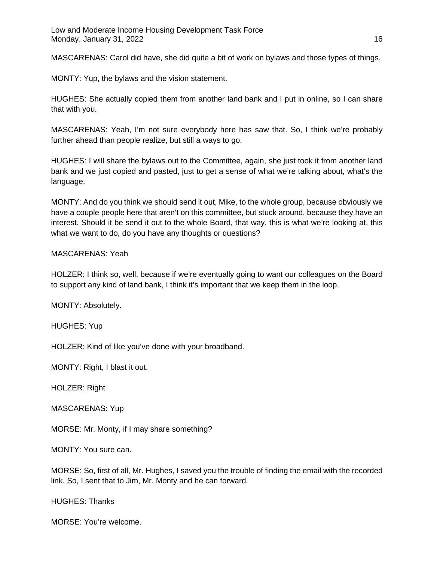MASCARENAS: Carol did have, she did quite a bit of work on bylaws and those types of things.

MONTY: Yup, the bylaws and the vision statement.

HUGHES: She actually copied them from another land bank and I put in online, so I can share that with you.

MASCARENAS: Yeah, I'm not sure everybody here has saw that. So, I think we're probably further ahead than people realize, but still a ways to go.

HUGHES: I will share the bylaws out to the Committee, again, she just took it from another land bank and we just copied and pasted, just to get a sense of what we're talking about, what's the language.

MONTY: And do you think we should send it out, Mike, to the whole group, because obviously we have a couple people here that aren't on this committee, but stuck around, because they have an interest. Should it be send it out to the whole Board, that way, this is what we're looking at, this what we want to do, do you have any thoughts or questions?

# MASCARENAS: Yeah

HOLZER: I think so, well, because if we're eventually going to want our colleagues on the Board to support any kind of land bank, I think it's important that we keep them in the loop.

MONTY: Absolutely.

HUGHES: Yup

HOLZER: Kind of like you've done with your broadband.

MONTY: Right, I blast it out.

HOLZER: Right

MASCARENAS: Yup

MORSE: Mr. Monty, if I may share something?

MONTY: You sure can.

MORSE: So, first of all, Mr. Hughes, I saved you the trouble of finding the email with the recorded link. So, I sent that to Jim, Mr. Monty and he can forward.

HUGHES: Thanks

MORSE: You're welcome.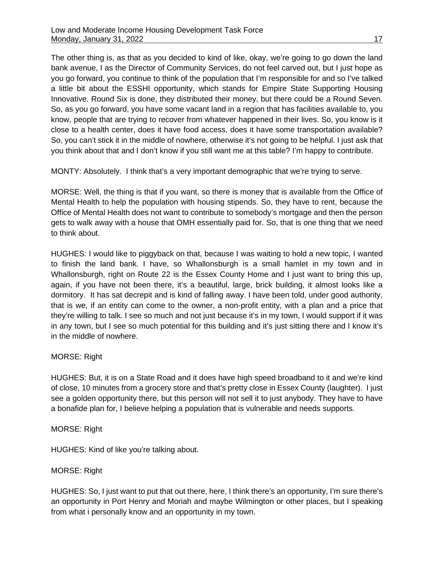The other thing is, as that as you decided to kind of like, okay, we're going to go down the land bank avenue, I as the Director of Community Services, do not feel carved out, but I just hope as you go forward, you continue to think of the population that I'm responsible for and so I've talked a little bit about the ESSHI opportunity, which stands for Empire State Supporting Housing Innovative. Round Six is done, they distributed their money, but there could be a Round Seven. So, as you go forward, you have some vacant land in a region that has facilities available to, you know, people that are trying to recover from whatever happened in their lives. So, you know is it close to a health center, does it have food access, does it have some transportation available? So, you can't stick it in the middle of nowhere, otherwise it's not going to be helpful. I just ask that you think about that and I don't know if you still want me at this table? I'm happy to contribute.

MONTY: Absolutely. I think that's a very important demographic that we're trying to serve.

MORSE: Well, the thing is that if you want, so there is money that is available from the Office of Mental Health to help the population with housing stipends. So, they have to rent, because the Office of Mental Health does not want to contribute to somebody's mortgage and then the person gets to walk away with a house that OMH essentially paid for. So, that is one thing that we need to think about.

HUGHES: I would like to piggyback on that, because I was waiting to hold a new topic, I wanted to finish the land bank. I have, so Whallonsburgh is a small hamlet in my town and in Whallonsburgh, right on Route 22 is the Essex County Home and I just want to bring this up, again, if you have not been there, it's a beautiful, large, brick building, it almost looks like a dormitory. It has sat decrepit and is kind of falling away. I have been told, under good authority, that is we, if an entity can come to the owner, a non-profit entity, with a plan and a price that they're willing to talk. I see so much and not just because it's in my town, I would support if it was in any town, but I see so much potential for this building and it's just sitting there and I know it's in the middle of nowhere.

# MORSE: Right

HUGHES: But, it is on a State Road and it does have high speed broadband to it and we're kind of close, 10 minutes from a grocery store and that's pretty close in Essex County (laughter). I just see a golden opportunity there, but this person will not sell it to just anybody. They have to have a bonafide plan for, I believe helping a population that is vulnerable and needs supports.

# MORSE: Right

HUGHES: Kind of like you're talking about.

# MORSE: Right

HUGHES: So, I just want to put that out there, here, I think there's an opportunity, I'm sure there's an opportunity in Port Henry and Moriah and maybe Wilmington or other places, but I speaking from what i personally know and an opportunity in my town.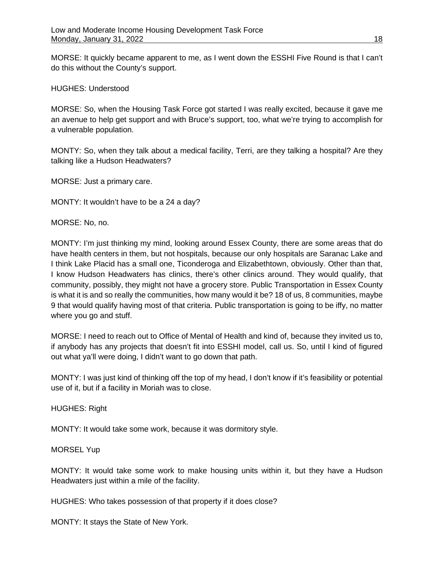MORSE: It quickly became apparent to me, as I went down the ESSHI Five Round is that I can't do this without the County's support.

#### HUGHES: Understood

MORSE: So, when the Housing Task Force got started I was really excited, because it gave me an avenue to help get support and with Bruce's support, too, what we're trying to accomplish for a vulnerable population.

MONTY: So, when they talk about a medical facility, Terri, are they talking a hospital? Are they talking like a Hudson Headwaters?

MORSE: Just a primary care.

MONTY: It wouldn't have to be a 24 a day?

MORSE: No, no.

MONTY: I'm just thinking my mind, looking around Essex County, there are some areas that do have health centers in them, but not hospitals, because our only hospitals are Saranac Lake and I think Lake Placid has a small one, Ticonderoga and Elizabethtown, obviously. Other than that, I know Hudson Headwaters has clinics, there's other clinics around. They would qualify, that community, possibly, they might not have a grocery store. Public Transportation in Essex County is what it is and so really the communities, how many would it be? 18 of us, 8 communities, maybe 9 that would qualify having most of that criteria. Public transportation is going to be iffy, no matter where you go and stuff.

MORSE: I need to reach out to Office of Mental of Health and kind of, because they invited us to, if anybody has any projects that doesn't fit into ESSHI model, call us. So, until I kind of figured out what ya'll were doing, I didn't want to go down that path.

MONTY: I was just kind of thinking off the top of my head, I don't know if it's feasibility or potential use of it, but if a facility in Moriah was to close.

HUGHES: Right

MONTY: It would take some work, because it was dormitory style.

MORSEL Yup

MONTY: It would take some work to make housing units within it, but they have a Hudson Headwaters just within a mile of the facility.

HUGHES: Who takes possession of that property if it does close?

MONTY: It stays the State of New York.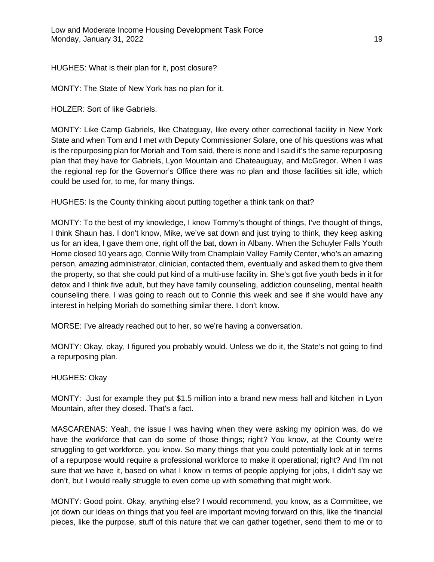HUGHES: What is their plan for it, post closure?

MONTY: The State of New York has no plan for it.

HOLZER: Sort of like Gabriels.

MONTY: Like Camp Gabriels, like Chateguay, like every other correctional facility in New York State and when Tom and I met with Deputy Commissioner Solare, one of his questions was what is the repurposing plan for Moriah and Tom said, there is none and I said it's the same repurposing plan that they have for Gabriels, Lyon Mountain and Chateauguay, and McGregor. When I was the regional rep for the Governor's Office there was no plan and those facilities sit idle, which could be used for, to me, for many things.

HUGHES: Is the County thinking about putting together a think tank on that?

MONTY: To the best of my knowledge, I know Tommy's thought of things, I've thought of things, I think Shaun has. I don't know, Mike, we've sat down and just trying to think, they keep asking us for an idea, I gave them one, right off the bat, down in Albany. When the Schuyler Falls Youth Home closed 10 years ago, Connie Willy from Champlain Valley Family Center, who's an amazing person, amazing administrator, clinician, contacted them, eventually and asked them to give them the property, so that she could put kind of a multi-use facility in. She's got five youth beds in it for detox and I think five adult, but they have family counseling, addiction counseling, mental health counseling there. I was going to reach out to Connie this week and see if she would have any interest in helping Moriah do something similar there. I don't know.

MORSE: I've already reached out to her, so we're having a conversation.

MONTY: Okay, okay, I figured you probably would. Unless we do it, the State's not going to find a repurposing plan.

# HUGHES: Okay

MONTY: Just for example they put \$1.5 million into a brand new mess hall and kitchen in Lyon Mountain, after they closed. That's a fact.

MASCARENAS: Yeah, the issue I was having when they were asking my opinion was, do we have the workforce that can do some of those things; right? You know, at the County we're struggling to get workforce, you know. So many things that you could potentially look at in terms of a repurpose would require a professional workforce to make it operational; right? And I'm not sure that we have it, based on what I know in terms of people applying for jobs, I didn't say we don't, but I would really struggle to even come up with something that might work.

MONTY: Good point. Okay, anything else? I would recommend, you know, as a Committee, we jot down our ideas on things that you feel are important moving forward on this, like the financial pieces, like the purpose, stuff of this nature that we can gather together, send them to me or to